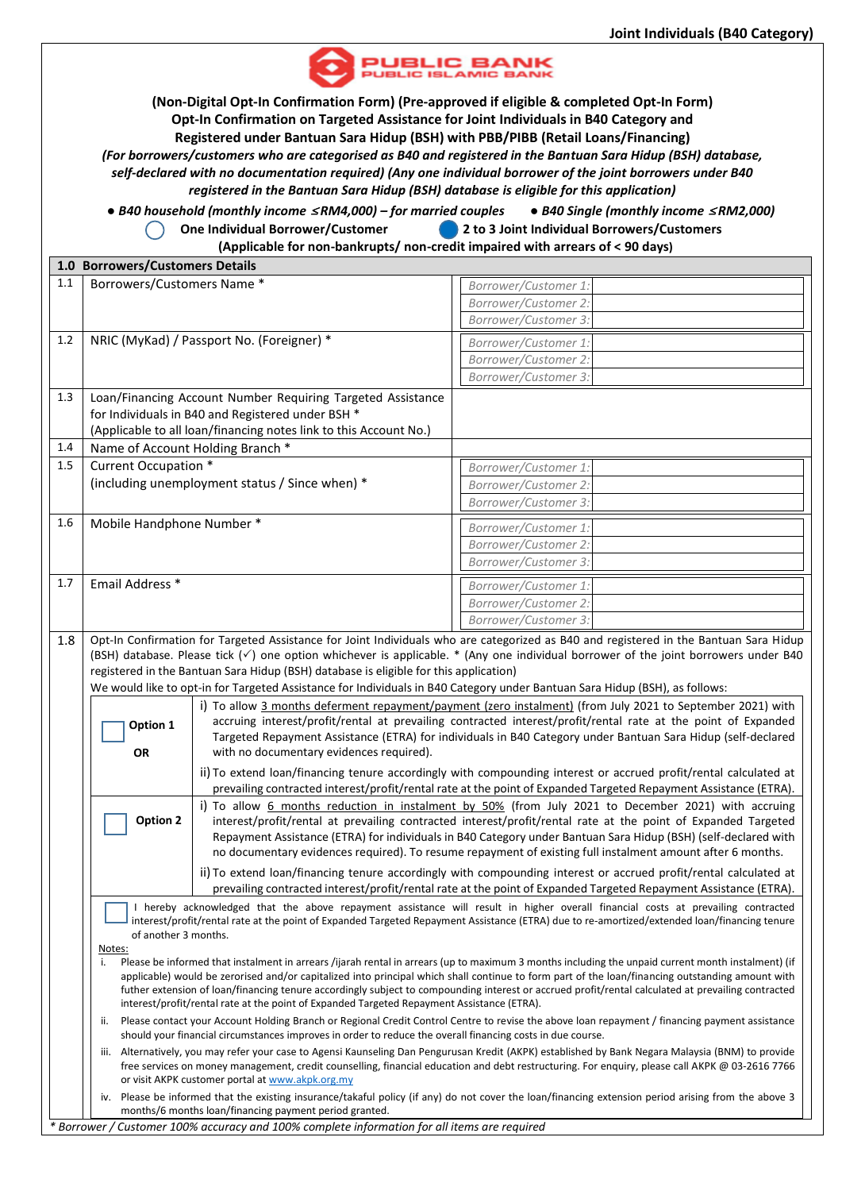

**(Non-Digital Opt-In Confirmation Form) (Pre-approved if eligible & completed Opt-In Form) Opt-In Confirmation on Targeted Assistance for Joint Individuals in B40 Category and Registered under Bantuan Sara Hidup (BSH) with PBB/PIBB (Retail Loans/Financing)** *(For borrowers/customers who are categorised as B40 and registered in the Bantuan Sara Hidup (BSH) database, self-declared with no documentation required) (Any one individual borrower of the joint borrowers under B40*

*registered in the Bantuan Sara Hidup (BSH) database is eligible for this application)*

 *● B40 household (monthly income* <sup>≤</sup> *RM4,000) – for married couples ● B40 Single (monthly income* <sup>≤</sup> *RM2,000)* **One Individual Borrower/Customer 2 to 3 Joint Individual Borrowers/Customers** 

 **(Applicable for non-bankrupts/ non-credit impaired with arrears of < 90 days)** 

| 1.0 Borrowers/Customers Details |                                                                                                                                                                                                                                                  |                                                                                                                                                                                                                                                                                                                                          |                                                                                                                                                |  |  |  |  |  |  |  |
|---------------------------------|--------------------------------------------------------------------------------------------------------------------------------------------------------------------------------------------------------------------------------------------------|------------------------------------------------------------------------------------------------------------------------------------------------------------------------------------------------------------------------------------------------------------------------------------------------------------------------------------------|------------------------------------------------------------------------------------------------------------------------------------------------|--|--|--|--|--|--|--|
| 1.1                             | Borrowers/Customers Name*                                                                                                                                                                                                                        |                                                                                                                                                                                                                                                                                                                                          | Borrower/Customer 1:                                                                                                                           |  |  |  |  |  |  |  |
|                                 |                                                                                                                                                                                                                                                  |                                                                                                                                                                                                                                                                                                                                          | Borrower/Customer 2:                                                                                                                           |  |  |  |  |  |  |  |
|                                 |                                                                                                                                                                                                                                                  |                                                                                                                                                                                                                                                                                                                                          | Borrower/Customer 3:                                                                                                                           |  |  |  |  |  |  |  |
| 1.2                             |                                                                                                                                                                                                                                                  | NRIC (MyKad) / Passport No. (Foreigner) *                                                                                                                                                                                                                                                                                                | Borrower/Customer 1:                                                                                                                           |  |  |  |  |  |  |  |
|                                 |                                                                                                                                                                                                                                                  |                                                                                                                                                                                                                                                                                                                                          | Borrower/Customer 2:                                                                                                                           |  |  |  |  |  |  |  |
|                                 |                                                                                                                                                                                                                                                  |                                                                                                                                                                                                                                                                                                                                          | Borrower/Customer 3:                                                                                                                           |  |  |  |  |  |  |  |
| 1.3                             |                                                                                                                                                                                                                                                  | Loan/Financing Account Number Requiring Targeted Assistance                                                                                                                                                                                                                                                                              |                                                                                                                                                |  |  |  |  |  |  |  |
|                                 |                                                                                                                                                                                                                                                  | for Individuals in B40 and Registered under BSH *                                                                                                                                                                                                                                                                                        |                                                                                                                                                |  |  |  |  |  |  |  |
|                                 |                                                                                                                                                                                                                                                  | (Applicable to all loan/financing notes link to this Account No.)                                                                                                                                                                                                                                                                        |                                                                                                                                                |  |  |  |  |  |  |  |
| 1.4                             | Name of Account Holding Branch *                                                                                                                                                                                                                 |                                                                                                                                                                                                                                                                                                                                          |                                                                                                                                                |  |  |  |  |  |  |  |
| 1.5                             | Current Occupation *                                                                                                                                                                                                                             |                                                                                                                                                                                                                                                                                                                                          | Borrower/Customer 1:                                                                                                                           |  |  |  |  |  |  |  |
|                                 |                                                                                                                                                                                                                                                  | (including unemployment status / Since when) *                                                                                                                                                                                                                                                                                           | Borrower/Customer 2:                                                                                                                           |  |  |  |  |  |  |  |
|                                 |                                                                                                                                                                                                                                                  |                                                                                                                                                                                                                                                                                                                                          | Borrower/Customer 3:                                                                                                                           |  |  |  |  |  |  |  |
| 1.6                             | Mobile Handphone Number*                                                                                                                                                                                                                         |                                                                                                                                                                                                                                                                                                                                          | Borrower/Customer 1:                                                                                                                           |  |  |  |  |  |  |  |
|                                 |                                                                                                                                                                                                                                                  |                                                                                                                                                                                                                                                                                                                                          | Borrower/Customer 2:                                                                                                                           |  |  |  |  |  |  |  |
|                                 |                                                                                                                                                                                                                                                  |                                                                                                                                                                                                                                                                                                                                          | Borrower/Customer 3:                                                                                                                           |  |  |  |  |  |  |  |
| 1.7                             | Email Address *                                                                                                                                                                                                                                  |                                                                                                                                                                                                                                                                                                                                          | Borrower/Customer 1:                                                                                                                           |  |  |  |  |  |  |  |
|                                 |                                                                                                                                                                                                                                                  |                                                                                                                                                                                                                                                                                                                                          | Borrower/Customer 2:                                                                                                                           |  |  |  |  |  |  |  |
|                                 |                                                                                                                                                                                                                                                  |                                                                                                                                                                                                                                                                                                                                          | Borrower/Customer 3:                                                                                                                           |  |  |  |  |  |  |  |
| 1.8                             |                                                                                                                                                                                                                                                  |                                                                                                                                                                                                                                                                                                                                          | Opt-In Confirmation for Targeted Assistance for Joint Individuals who are categorized as B40 and registered in the Bantuan Sara Hidup          |  |  |  |  |  |  |  |
|                                 |                                                                                                                                                                                                                                                  |                                                                                                                                                                                                                                                                                                                                          | (BSH) database. Please tick $(\check{ } )$ one option whichever is applicable. * (Any one individual borrower of the joint borrowers under B40 |  |  |  |  |  |  |  |
|                                 |                                                                                                                                                                                                                                                  | registered in the Bantuan Sara Hidup (BSH) database is eligible for this application)                                                                                                                                                                                                                                                    |                                                                                                                                                |  |  |  |  |  |  |  |
|                                 |                                                                                                                                                                                                                                                  |                                                                                                                                                                                                                                                                                                                                          | We would like to opt-in for Targeted Assistance for Individuals in B40 Category under Bantuan Sara Hidup (BSH), as follows:                    |  |  |  |  |  |  |  |
|                                 |                                                                                                                                                                                                                                                  |                                                                                                                                                                                                                                                                                                                                          | i) To allow 3 months deferment repayment/payment (zero instalment) (from July 2021 to September 2021) with                                     |  |  |  |  |  |  |  |
|                                 | Option 1                                                                                                                                                                                                                                         | accruing interest/profit/rental at prevailing contracted interest/profit/rental rate at the point of Expanded                                                                                                                                                                                                                            |                                                                                                                                                |  |  |  |  |  |  |  |
|                                 |                                                                                                                                                                                                                                                  |                                                                                                                                                                                                                                                                                                                                          | Targeted Repayment Assistance (ETRA) for individuals in B40 Category under Bantuan Sara Hidup (self-declared                                   |  |  |  |  |  |  |  |
|                                 | OR                                                                                                                                                                                                                                               | with no documentary evidences required).                                                                                                                                                                                                                                                                                                 |                                                                                                                                                |  |  |  |  |  |  |  |
|                                 |                                                                                                                                                                                                                                                  | ii) To extend loan/financing tenure accordingly with compounding interest or accrued profit/rental calculated at                                                                                                                                                                                                                         |                                                                                                                                                |  |  |  |  |  |  |  |
|                                 |                                                                                                                                                                                                                                                  | prevailing contracted interest/profit/rental rate at the point of Expanded Targeted Repayment Assistance (ETRA).<br>i) To allow 6 months reduction in instalment by 50% (from July 2021 to December 2021) with accruing<br>interest/profit/rental at prevailing contracted interest/profit/rental rate at the point of Expanded Targeted |                                                                                                                                                |  |  |  |  |  |  |  |
|                                 | Option 2                                                                                                                                                                                                                                         |                                                                                                                                                                                                                                                                                                                                          |                                                                                                                                                |  |  |  |  |  |  |  |
|                                 |                                                                                                                                                                                                                                                  | Repayment Assistance (ETRA) for individuals in B40 Category under Bantuan Sara Hidup (BSH) (self-declared with                                                                                                                                                                                                                           |                                                                                                                                                |  |  |  |  |  |  |  |
|                                 |                                                                                                                                                                                                                                                  |                                                                                                                                                                                                                                                                                                                                          | no documentary evidences required). To resume repayment of existing full instalment amount after 6 months.                                     |  |  |  |  |  |  |  |
|                                 |                                                                                                                                                                                                                                                  | ii) To extend loan/financing tenure accordingly with compounding interest or accrued profit/rental calculated at                                                                                                                                                                                                                         |                                                                                                                                                |  |  |  |  |  |  |  |
|                                 | prevailing contracted interest/profit/rental rate at the point of Expanded Targeted Repayment Assistance (ETRA).                                                                                                                                 |                                                                                                                                                                                                                                                                                                                                          |                                                                                                                                                |  |  |  |  |  |  |  |
|                                 | I hereby acknowledged that the above repayment assistance will result in higher overall financial costs at prevailing contracted                                                                                                                 |                                                                                                                                                                                                                                                                                                                                          |                                                                                                                                                |  |  |  |  |  |  |  |
|                                 | interest/profit/rental rate at the point of Expanded Targeted Repayment Assistance (ETRA) due to re-amortized/extended loan/financing tenure                                                                                                     |                                                                                                                                                                                                                                                                                                                                          |                                                                                                                                                |  |  |  |  |  |  |  |
|                                 | of another 3 months.<br>Notes:                                                                                                                                                                                                                   |                                                                                                                                                                                                                                                                                                                                          |                                                                                                                                                |  |  |  |  |  |  |  |
|                                 | Please be informed that instalment in arrears /ijarah rental in arrears (up to maximum 3 months including the unpaid current month instalment) (if<br>i.                                                                                         |                                                                                                                                                                                                                                                                                                                                          |                                                                                                                                                |  |  |  |  |  |  |  |
|                                 | applicable) would be zerorised and/or capitalized into principal which shall continue to form part of the loan/financing outstanding amount with                                                                                                 |                                                                                                                                                                                                                                                                                                                                          |                                                                                                                                                |  |  |  |  |  |  |  |
|                                 | futher extension of loan/financing tenure accordingly subject to compounding interest or accrued profit/rental calculated at prevailing contracted<br>interest/profit/rental rate at the point of Expanded Targeted Repayment Assistance (ETRA). |                                                                                                                                                                                                                                                                                                                                          |                                                                                                                                                |  |  |  |  |  |  |  |
|                                 | Please contact your Account Holding Branch or Regional Credit Control Centre to revise the above loan repayment / financing payment assistance<br>ii.                                                                                            |                                                                                                                                                                                                                                                                                                                                          |                                                                                                                                                |  |  |  |  |  |  |  |
|                                 | should your financial circumstances improves in order to reduce the overall financing costs in due course.                                                                                                                                       |                                                                                                                                                                                                                                                                                                                                          |                                                                                                                                                |  |  |  |  |  |  |  |
|                                 | iii. Alternatively, you may refer your case to Agensi Kaunseling Dan Pengurusan Kredit (AKPK) established by Bank Negara Malaysia (BNM) to provide                                                                                               |                                                                                                                                                                                                                                                                                                                                          |                                                                                                                                                |  |  |  |  |  |  |  |
|                                 | free services on money management, credit counselling, financial education and debt restructuring. For enquiry, please call AKPK @ 03-2616 7766<br>or visit AKPK customer portal at www.akpk.org.my                                              |                                                                                                                                                                                                                                                                                                                                          |                                                                                                                                                |  |  |  |  |  |  |  |
|                                 | iv. Please be informed that the existing insurance/takaful policy (if any) do not cover the loan/financing extension period arising from the above 3                                                                                             |                                                                                                                                                                                                                                                                                                                                          |                                                                                                                                                |  |  |  |  |  |  |  |
|                                 | months/6 months loan/financing payment period granted.                                                                                                                                                                                           |                                                                                                                                                                                                                                                                                                                                          |                                                                                                                                                |  |  |  |  |  |  |  |
|                                 | * Borrower / Customer 100% accuracy and 100% complete information for all items are required                                                                                                                                                     |                                                                                                                                                                                                                                                                                                                                          |                                                                                                                                                |  |  |  |  |  |  |  |